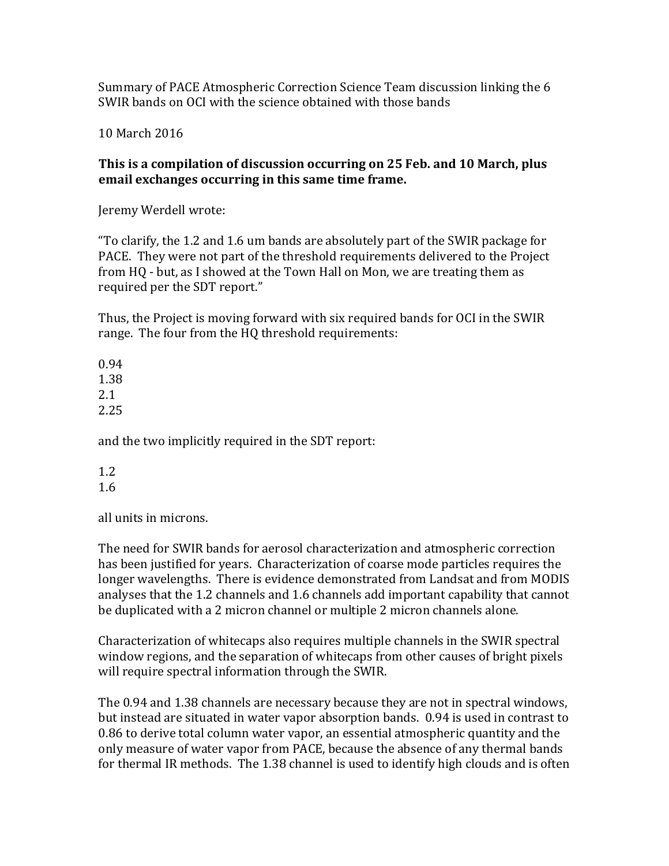Summary of PACE Atmospheric Correction Science Team discussion linking the 6 SWIR bands on OCI with the science obtained with those bands

10 March 2016

## This is a compilation of discussion occurring on 25 Feb. and 10 March, plus **email exchanges occurring in this same time frame.**

Jeremy Werdell wrote:

"To clarify, the 1.2 and 1.6 um bands are absolutely part of the SWIR package for PACE. They were not part of the threshold requirements delivered to the Project from HQ - but, as I showed at the Town Hall on Mon, we are treating them as required per the SDT report."

Thus, the Project is moving forward with six required bands for OCI in the SWIR range. The four from the HQ threshold requirements:

0.94 1.38 2.1 2.25

and the two implicitly required in the SDT report:

1.2 1.6

all units in microns.

The need for SWIR bands for aerosol characterization and atmospheric correction has been justified for years. Characterization of coarse mode particles requires the longer wavelengths. There is evidence demonstrated from Landsat and from MODIS analyses that the 1.2 channels and 1.6 channels add important capability that cannot be duplicated with a 2 micron channel or multiple 2 micron channels alone.

Characterization of whitecaps also requires multiple channels in the SWIR spectral window regions, and the separation of whitecaps from other causes of bright pixels will require spectral information through the SWIR.

The 0.94 and 1.38 channels are necessary because they are not in spectral windows, but instead are situated in water vapor absorption bands. 0.94 is used in contrast to 0.86 to derive total column water vapor, an essential atmospheric quantity and the only measure of water vapor from PACE, because the absence of any thermal bands for thermal IR methods. The 1.38 channel is used to identify high clouds and is often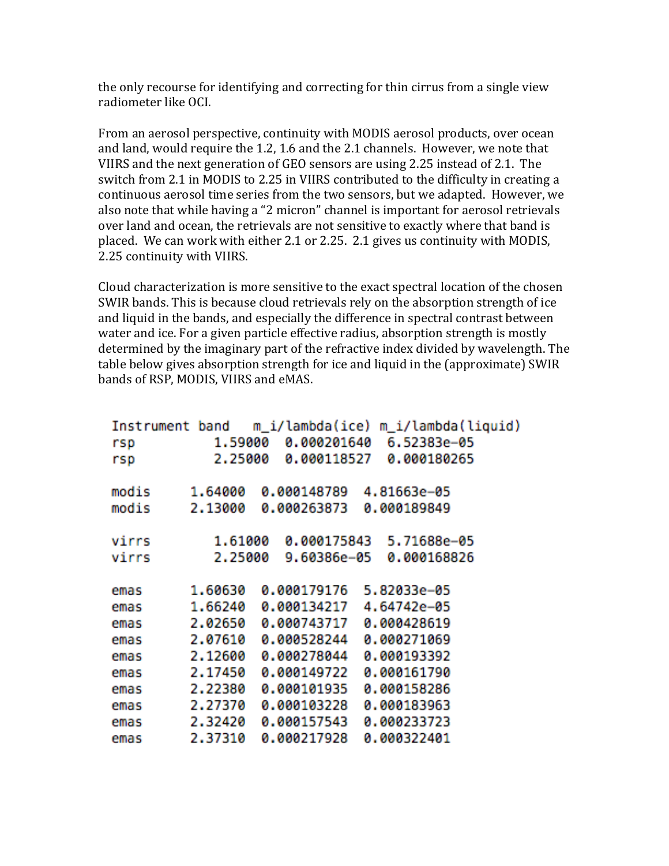the only recourse for identifying and correcting for thin cirrus from a single view radiometer like OCI.

From an aerosol perspective, continuity with MODIS aerosol products, over ocean and land, would require the 1.2, 1.6 and the 2.1 channels. However, we note that VIIRS and the next generation of GEO sensors are using 2.25 instead of 2.1. The switch from 2.1 in MODIS to 2.25 in VIIRS contributed to the difficulty in creating a continuous aerosol time series from the two sensors, but we adapted. However, we also note that while having a "2 micron" channel is important for aerosol retrievals over land and ocean, the retrievals are not sensitive to exactly where that band is placed. We can work with either 2.1 or 2.25. 2.1 gives us continuity with MODIS, 2.25 continuity with VIIRS.

Cloud characterization is more sensitive to the exact spectral location of the chosen SWIR bands. This is because cloud retrievals rely on the absorption strength of ice and liquid in the bands, and especially the difference in spectral contrast between water and ice. For a given particle effective radius, absorption strength is mostly determined by the imaginary part of the refractive index divided by wavelength. The table below gives absorption strength for ice and liquid in the (approximate) SWIR bands of RSP, MODIS, VIIRS and eMAS.

| rsp   | 1.59000 | 0.000201640 | Instrument band m_i/lambda(ice) m_i/lambda(liquid)<br>6.52383e-05 |  |
|-------|---------|-------------|-------------------------------------------------------------------|--|
| rsp   | 2.25000 | 0.000118527 | 0.000180265                                                       |  |
| modis | 1,64000 | 0.000148789 | 4.81663e-05                                                       |  |
| modis | 2.13000 | 0.000263873 | 0.000189849                                                       |  |
| virrs | 1,61000 | 0.000175843 | 5.71688e-05                                                       |  |
| virrs | 2.25000 | 9.60386e-05 | 0.000168826                                                       |  |
| emas  | 1,60630 | 0.000179176 | 5.82033e-05                                                       |  |
| emas  | 1,66240 | 0.000134217 | 4.64742e-05                                                       |  |
| emas  | 2.02650 | 0.000743717 | 0.000428619                                                       |  |
| emas  | 2.07610 | 0.000528244 | 0.000271069                                                       |  |
| emas  | 2,12600 | 0.000278044 | 0.000193392                                                       |  |
| emas  | 2.17450 | 0.000149722 | 0.000161790                                                       |  |
| emas  | 2.22380 | 0.000101935 | 0.000158286                                                       |  |
| emas  | 2.27370 | 0.000103228 | 0.000183963                                                       |  |
| emas  | 2.32420 | 0.000157543 | 0.000233723                                                       |  |
| emas  | 2.37310 | 0.000217928 | 0.000322401                                                       |  |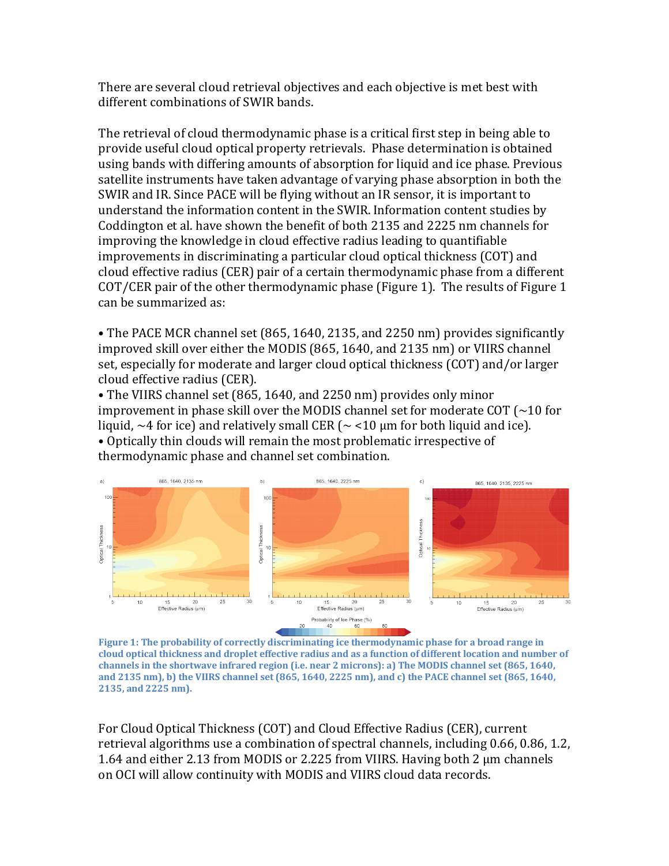There are several cloud retrieval objectives and each objective is met best with different combinations of SWIR bands.

The retrieval of cloud thermodynamic phase is a critical first step in being able to provide useful cloud optical property retrievals. Phase determination is obtained using bands with differing amounts of absorption for liquid and ice phase. Previous satellite instruments have taken advantage of varying phase absorption in both the SWIR and IR. Since PACE will be flying without an IR sensor, it is important to understand the information content in the SWIR. Information content studies by Coddington et al. have shown the benefit of both 2135 and 2225 nm channels for improving the knowledge in cloud effective radius leading to quantifiable improvements in discriminating a particular cloud optical thickness (COT) and cloud effective radius (CER) pair of a certain thermodynamic phase from a different COT/CER pair of the other thermodynamic phase (Figure 1). The results of Figure 1 can be summarized as:

• The PACE MCR channel set (865, 1640, 2135, and 2250 nm) provides significantly improved skill over either the MODIS (865, 1640, and 2135 nm) or VIIRS channel set, especially for moderate and larger cloud optical thickness (COT) and/or larger cloud effective radius (CER).

• The VIIRS channel set (865, 1640, and 2250 nm) provides only minor improvement in phase skill over the MODIS channel set for moderate  $COT$  ( $\sim$ 10 for liquid,  $\sim$ 4 for ice) and relatively small CER ( $\sim$  <10 µm for both liquid and ice).

• Optically thin clouds will remain the most problematic irrespective of thermodynamic phase and channel set combination.



Figure 1: The probability of correctly discriminating ice thermodynamic phase for a broad range in cloud optical thickness and droplet effective radius and as a function of different location and number of channels in the shortwave infrared region (i.e. near 2 microns): a) The MODIS channel set (865, 1640, and 2135 nm), b) the VIIRS channel set (865, 1640, 2225 nm), and c) the PACE channel set (865, 1640, **2135, and 2225 nm).**

For Cloud Optical Thickness (COT) and Cloud Effective Radius (CER), current retrieval algorithms use a combination of spectral channels, including 0.66, 0.86, 1.2, 1.64 and either 2.13 from MODIS or 2.225 from VIIRS. Having both 2  $\mu$ m channels on OCI will allow continuity with MODIS and VIIRS cloud data records.